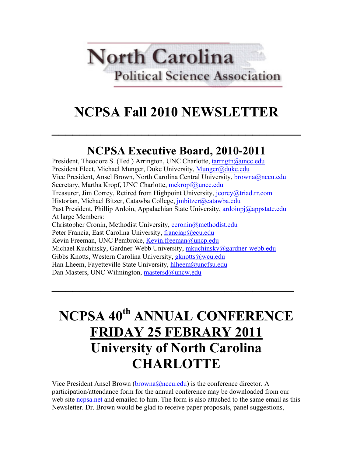# **North Carolina Political Science Association**

# **NCPSA Fall 2010 NEWSLETTER**

**\_\_\_\_\_\_\_\_\_\_\_\_\_\_\_\_\_\_\_\_\_\_\_\_\_\_\_\_\_\_\_\_\_\_\_\_**

### **NCPSA Executive Board, 2010-2011**

President, Theodore S. (Ted ) Arrington, UNC Charlotte, tarrngtn@uncc.edu President Elect, Michael Munger, Duke University, Munger@duke.edu Vice President, Ansel Brown, North Carolina Central University, **browna@nccu.edu** Secretary, Martha Kropf, UNC Charlotte, mekropf@uncc.edu Treasurer, Jim Correy, Retired from Highpoint University, jcorey@triad.rr.com Historian, Michael Bitzer, Catawba College, *imbitzer@catawba.edu* Past President, Phillip Ardoin, Appalachian State University, ardoinpj@appstate.edu At large Members: Christopher Cronin, Methodist University, ccronin@methodist.edu Peter Francia, East Carolina University, franciap@ecu.edu Kevin Freeman, UNC Pembroke, Kevin.freeman@uncp.edu Michael Kuchinsky, Gardner-Webb University, mkuchinsky@gardner-webb.edu Gibbs Knotts, Western Carolina University, *gknotts@wcu.edu* Han Lheem, Fayetteville State University, hlheem@uncfsu.edu Dan Masters, UNC Wilmington, mastersd@uncw.edu

# **NCPSA 40th ANNUAL CONFERENCE FRIDAY 25 FEBRARY 2011 University of North Carolina CHARLOTTE**

 $\mathcal{L}=\mathcal{L}^{\mathcal{L}}$  , where  $\mathcal{L}^{\mathcal{L}}$  ,  $\mathcal{L}^{\mathcal{L}}$  ,  $\mathcal{L}^{\mathcal{L}}$  ,  $\mathcal{L}^{\mathcal{L}}$  ,  $\mathcal{L}^{\mathcal{L}}$  ,  $\mathcal{L}^{\mathcal{L}}$  ,  $\mathcal{L}^{\mathcal{L}}$  ,  $\mathcal{L}^{\mathcal{L}}$  ,  $\mathcal{L}^{\mathcal{L}}$  ,  $\mathcal{L}^{\mathcal{L}}$  ,  $\mathcal{L}^{\mathcal$ 

Vice President Ansel Brown (browna@nccu.edu) is the conference director. A participation/attendance form for the annual conference may be downloaded from our web site nepsa, net and emailed to him. The form is also attached to the same email as this Newsletter. Dr. Brown would be glad to receive paper proposals, panel suggestions,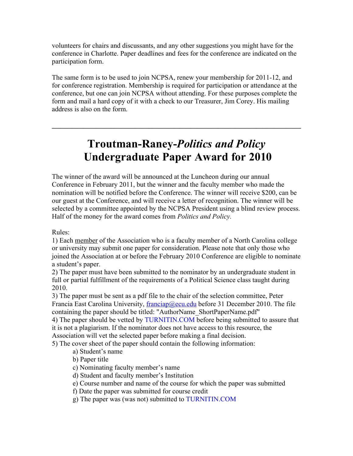volunteers for chairs and discussants, and any other suggestions you might have for the conference in Charlotte. Paper deadlines and fees for the conference are indicated on the participation form.

The same form is to be used to join NCPSA, renew your membership for 2011-12, and for conference registration. Membership is required for participation or attendance at the conference, but one can join NCPSA without attending. For these purposes complete the form and mail a hard copy of it with a check to our Treasurer, Jim Corey. His mailing address is also on the form.

### **Troutman-Raney-***Politics and Policy* **Undergraduate Paper Award for 2010**

 $\mathcal{L}_\mathcal{L} = \mathcal{L}_\mathcal{L} - \mathcal{L}_\mathcal{L}$ 

The winner of the award will be announced at the Luncheon during our annual Conference in February 2011, but the winner and the faculty member who made the nomination will be notified before the Conference. The winner will receive \$200, can be our guest at the Conference, and will receive a letter of recognition. The winner will be selected by a committee appointed by the NCPSA President using a blind review process. Half of the money for the award comes from *Politics and Policy.*

Rules:

1) Each member of the Association who is a faculty member of a North Carolina college or university may submit one paper for consideration. Please note that only those who joined the Association at or before the February 2010 Conference are eligible to nominate a student's paper.

2) The paper must have been submitted to the nominator by an undergraduate student in full or partial fulfillment of the requirements of a Political Science class taught during 2010.

3) The paper must be sent as a pdf file to the chair of the selection committee, Peter Francia East Carolina University, franciap@ecu.edu before 31 December 2010. The file containing the paper should be titled: "AuthorName\_ShortPaperName.pdf"

4) The paper should be vetted by TURNITIN.COM before being submitted to assure that it is not a plagiarism. If the nominator does not have access to this resource, the Association will vet the selected paper before making a final decision.

5) The cover sheet of the paper should contain the following information:

- a) Student's name
- b) Paper title
- c) Nominating faculty member's name
- d) Student and faculty member's Institution
- e) Course number and name of the course for which the paper was submitted
- f) Date the paper was submitted for course credit
- g) The paper was (was not) submitted to TURNITIN.COM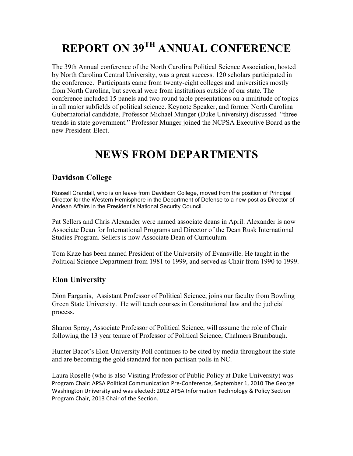## **REPORT ON 39TH ANNUAL CONFERENCE**

The 39th Annual conference of the North Carolina Political Science Association, hosted by North Carolina Central University, was a great success. 120 scholars participated in the conference. Participants came from twenty-eight colleges and universities mostly from North Carolina, but several were from institutions outside of our state. The conference included 15 panels and two round table presentations on a multitude of topics in all major subfields of political science. Keynote Speaker, and former North Carolina Gubernatorial candidate, Professor Michael Munger (Duke University) discussed "three trends in state government." Professor Munger joined the NCPSA Executive Board as the new President-Elect.

### **NEWS FROM DEPARTMENTS**

#### **Davidson College**

Russell Crandall, who is on leave from Davidson College, moved from the position of Principal Director for the Western Hemisphere in the Department of Defense to a new post as Director of Andean Affairs in the President's National Security Council.

Pat Sellers and Chris Alexander were named associate deans in April. Alexander is now Associate Dean for International Programs and Director of the Dean Rusk International Studies Program. Sellers is now Associate Dean of Curriculum.

Tom Kaze has been named President of the University of Evansville. He taught in the Political Science Department from 1981 to 1999, and served as Chair from 1990 to 1999.

#### **Elon University**

Dion Farganis, Assistant Professor of Political Science, joins our faculty from Bowling Green State University. He will teach courses in Constitutional law and the judicial process.

Sharon Spray, Associate Professor of Political Science, will assume the role of Chair following the 13 year tenure of Professor of Political Science, Chalmers Brumbaugh.

Hunter Bacot's Elon University Poll continues to be cited by media throughout the state and are becoming the gold standard for non-partisan polls in NC.

Laura Roselle (who is also Visiting Professor of Public Policy at Duke University) was Program Chair: APSA Political Communication Pre-Conference, September 1, 2010 The George Washington University and was elected: 2012 APSA Information Technology & Policy Section Program Chair, 2013 Chair of the Section.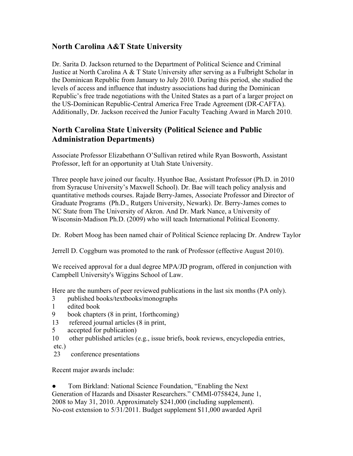#### **North Carolina A&T State University**

Dr. Sarita D. Jackson returned to the Department of Political Science and Criminal Justice at North Carolina A & T State University after serving as a Fulbright Scholar in the Dominican Republic from January to July 2010. During this period, she studied the levels of access and influence that industry associations had during the Dominican Republic's free trade negotiations with the United States as a part of a larger project on the US-Dominican Republic-Central America Free Trade Agreement (DR-CAFTA). Additionally, Dr. Jackson received the Junior Faculty Teaching Award in March 2010.

#### **North Carolina State University (Political Science and Public Administration Departments)**

Associate Professor Elizabethann O'Sullivan retired while Ryan Bosworth, Assistant Professor, left for an opportunity at Utah State University.

Three people have joined our faculty. Hyunhoe Bae, Assistant Professor (Ph.D. in 2010 from Syracuse University's Maxwell School). Dr. Bae will teach policy analysis and quantitative methods courses. Rajade Berry-James, Associate Professor and Director of Graduate Programs (Ph.D., Rutgers University, Newark). Dr. Berry-James comes to NC State from The University of Akron. And Dr. Mark Nance, a University of Wisconsin-Madison Ph.D. (2009) who will teach International Political Economy.

Dr. Robert Moog has been named chair of Political Science replacing Dr. Andrew Taylor

Jerrell D. Coggburn was promoted to the rank of Professor (effective August 2010).

We received approval for a dual degree MPA/JD program, offered in conjunction with Campbell University's Wiggins School of Law.

Here are the numbers of peer reviewed publications in the last six months (PA only).

- 3 published books/textbooks/monographs
- 1 edited book
- 9 book chapters (8 in print, 1forthcoming)
- 13 refereed journal articles (8 in print,
- 5 accepted for publication)
- 10 other published articles (e.g., issue briefs, book reviews, encyclopedia entries, etc.)
- 23 conference presentations

Recent major awards include:

Tom Birkland: National Science Foundation, "Enabling the Next" Generation of Hazards and Disaster Researchers." CMMI-0758424, June 1, 2008 to May 31, 2010. Approximately \$241,000 (including supplement). No-cost extension to 5/31/2011. Budget supplement \$11,000 awarded April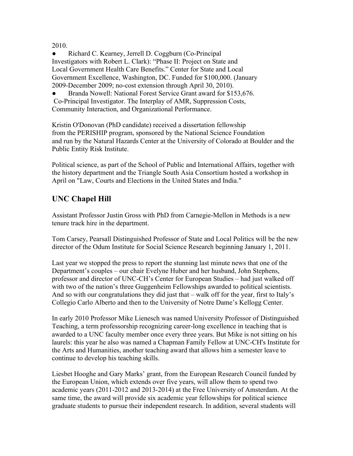#### 2010.

• Richard C. Kearney, Jerrell D. Coggburn (Co-Principal Investigators with Robert L. Clark): "Phase II: Project on State and Local Government Health Care Benefits." Center for State and Local Government Excellence, Washington, DC. Funded for \$100,000. (January 2009-December 2009; no-cost extension through April 30, 2010).

Branda Nowell: National Forest Service Grant award for \$153,676. Co-Principal Investigator. The Interplay of AMR, Suppression Costs, Community Interaction, and Organizational Performance.

Kristin O'Donovan (PhD candidate) received a dissertation fellowship from the PERISHIP program, sponsored by the National Science Foundation and run by the Natural Hazards Center at the University of Colorado at Boulder and the Public Entity Risk Institute.

Political science, as part of the School of Public and International Affairs, together with the history department and the Triangle South Asia Consortium hosted a workshop in April on "Law, Courts and Elections in the United States and India."

#### **UNC Chapel Hill**

Assistant Professor Justin Gross with PhD from Carnegie-Mellon in Methods is a new tenure track hire in the department.

Tom Carsey, Pearsall Distinguished Professor of State and Local Politics will be the new director of the Odum Institute for Social Science Research beginning January 1, 2011.

Last year we stopped the press to report the stunning last minute news that one of the Department's couples – our chair Evelyne Huber and her husband, John Stephens, professor and director of UNC-CH's Center for European Studies – had just walked off with two of the nation's three Guggenheim Fellowships awarded to political scientists. And so with our congratulations they did just that – walk off for the year, first to Italy's Collegio Carlo Alberto and then to the University of Notre Dame's Kellogg Center.

In early 2010 Professor Mike Lienesch was named University Professor of Distinguished Teaching, a term professorship recognizing career-long excellence in teaching that is awarded to a UNC faculty member once every three years. But Mike is not sitting on his laurels: this year he also was named a Chapman Family Fellow at UNC-CH's Institute for the Arts and Humanities, another teaching award that allows him a semester leave to continue to develop his teaching skills.

Liesbet Hooghe and Gary Marks' grant, from the European Research Council funded by the European Union, which extends over five years, will allow them to spend two academic years (2011-2012 and 2013-2014) at the Free University of Amsterdam. At the same time, the award will provide six academic year fellowships for political science graduate students to pursue their independent research. In addition, several students will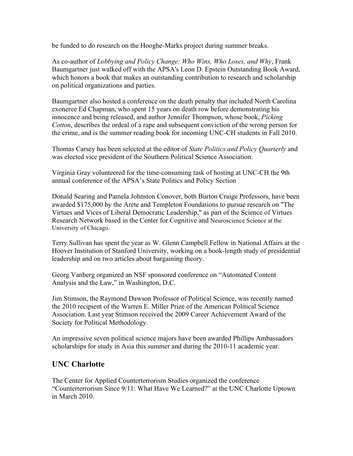be funded to do research on the Hooghe-Marks project during summer breaks.

As co-author of *Lobbying and Policy Change: Who Wins, Who Loses, and Why*, Frank Baumgartner just walked off with the APSA's Leon D. Epstein Outstanding Book Award, which honors a book that makes an outstanding contribution to research and scholarship on political organizations and parties.

Baumgartner also hosted a conference on the death penalty that included North Carolina exoneree Ed Chapman, who spent 15 years on death row before demonstrating his innocence and being released, and author Jennifer Thompson, whose book, *Picking Cotton*, describes the ordeal of a rape and subsequent conviction of the wrong person for the crime, and is the summer reading book for incoming UNC-CH students in Fall 2010.

Thomas Carsey has been selected at the editor of *State Politics and Policy Quarterly* and was elected vice president of the Southern Political Science Association.

Virginia Gray volunteered for the time-consuming task of hosting at UNC-CH the 9th annual conference of the APSA's State Politics and Policy Section

Donald Searing and Pamela Johnston Conover, both Burton Craige Professors, have been awarded \$175,000 by the Arete and Templeton Foundations to pursue research on "The Virtues and Vices of Liberal Democratic Leadership," as part of the Science of Virtues Research Network based in the Center for Cognitive and Neuroscience Science at the University of Chicago.

Terry Sullivan has spent the year as W. Glenn Campbell Fellow in National Affairs at the Hoover Institution of Stanford University, working on a book-length study of presidential leadership and on two articles about bargaining theory.

Georg Vanberg organized an NSF sponsored conference on "Automated Content Analysis and the Law," in Washington, D.C.

Jim Stimson, the Raymond Dawson Professor of Political Science, was recently named the 2010 recipient of the Warren E. Miller Prize of the American Political Science Association. Last year Stimson received the 2009 Career Achievement Award of the Society for Political Methodology.

An impressive seven political science majors have been awarded Phillips Ambassadors scholarships for study in Asia this summer and during the 2010-11 academic year.

#### **UNC Charlotte**

The Center for Applied Counterterrorism Studies organized the conference "Counterterrorism Since 9/11: What Have We Learned?" at the UNC Charlotte Uptown in March 2010.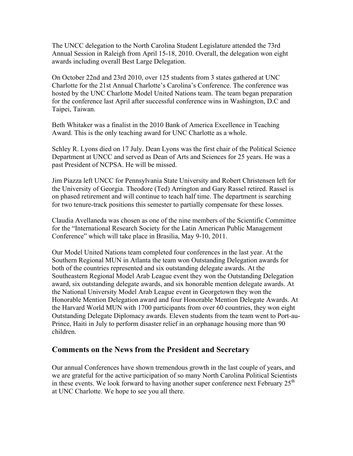The UNCC delegation to the North Carolina Student Legislature attended the 73rd Annual Session in Raleigh from April 15-18, 2010. Overall, the delegation won eight awards including overall Best Large Delegation.

On October 22nd and 23rd 2010, over 125 students from 3 states gathered at UNC Charlotte for the 21st Annual Charlotte's Carolina's Conference. The conference was hosted by the UNC Charlotte Model United Nations team. The team began preparation for the conference last April after successful conference wins in Washington, D.C and Taipei, Taiwan.

Beth Whitaker was a finalist in the 2010 Bank of America Excellence in Teaching Award. This is the only teaching award for UNC Charlotte as a whole.

Schley R. Lyons died on 17 July. Dean Lyons was the first chair of the Political Science Department at UNCC and served as Dean of Arts and Sciences for 25 years. He was a past President of NCPSA. He will be missed.

Jim Piazza left UNCC for Pennsylvania State University and Robert Christensen left for the University of Georgia. Theodore (Ted) Arrington and Gary Rassel retired. Rassel is on phased retirement and will continue to teach half time. The department is searching for two tenure-track positions this semester to partially compensate for these losses.

Claudia Avellaneda was chosen as one of the nine members of the Scientific Committee for the "International Research Society for the Latin American Public Management Conference" which will take place in Brasilia, May 9-10, 2011.

Our Model United Nations team completed four conferences in the last year. At the Southern Regional MUN in Atlanta the team won Outstanding Delegation awards for both of the countries represented and six outstanding delegate awards. At the Southeastern Regional Model Arab League event they won the Outstanding Delegation award, six outstanding delegate awards, and six honorable mention delegate awards. At the National University Model Arab League event in Georgetown they won the Honorable Mention Delegation award and four Honorable Mention Delegate Awards. At the Harvard World MUN with 1700 participants from over 60 countries, they won eight Outstanding Delegate Diplomacy awards. Eleven students from the team went to Port-au-Prince, Haiti in July to perform disaster relief in an orphanage housing more than 90 children.

#### **Comments on the News from the President and Secretary**

Our annual Conferences have shown tremendous growth in the last couple of years, and we are grateful for the active participation of so many North Carolina Political Scientists in these events. We look forward to having another super conference next February  $25<sup>th</sup>$ at UNC Charlotte. We hope to see you all there.